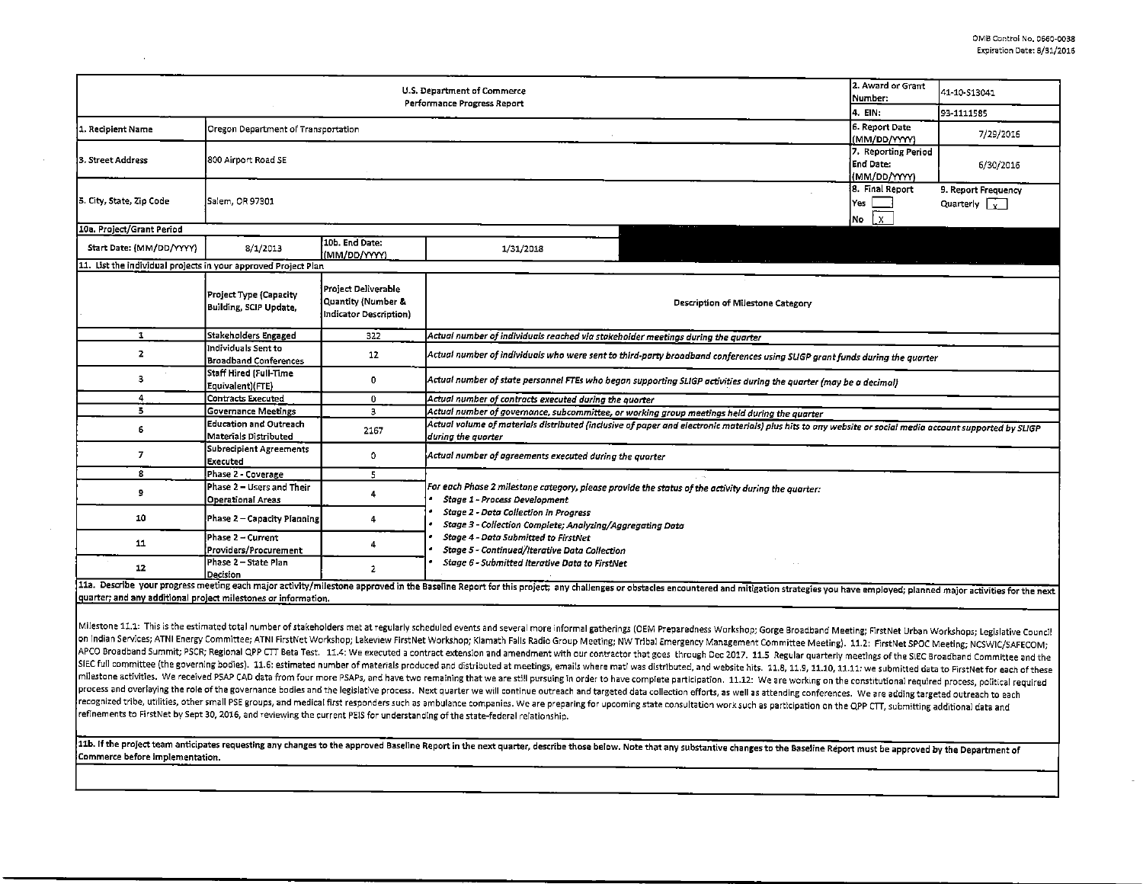|                                                                                                                                                                                                                                | 2. Award or Grant<br>Number:                           | 41-10-S13041                                                        |                                                                                                                                                                                                    |                                |           |  |  |  |  |  |  |  |
|--------------------------------------------------------------------------------------------------------------------------------------------------------------------------------------------------------------------------------|--------------------------------------------------------|---------------------------------------------------------------------|----------------------------------------------------------------------------------------------------------------------------------------------------------------------------------------------------|--------------------------------|-----------|--|--|--|--|--|--|--|
|                                                                                                                                                                                                                                | 14. EIN:                                               | 93-1111585                                                          |                                                                                                                                                                                                    |                                |           |  |  |  |  |  |  |  |
| 1. Recipient Name                                                                                                                                                                                                              | Oregon Department of Transportation                    |                                                                     |                                                                                                                                                                                                    | 6. Report Date<br>(MM/DD/YYYY) | 7/29/2016 |  |  |  |  |  |  |  |
| 3. Street Address                                                                                                                                                                                                              | 800 Airport Road SE                                    | 7. Reporting Period<br>End Date:<br>(MM/DD/YYYY)                    | 6/30/2016                                                                                                                                                                                          |                                |           |  |  |  |  |  |  |  |
| 5. City, State, Zip Code                                                                                                                                                                                                       | Salem, OR 97301                                        | 8. Final Report<br>lYes<br>$\mathsf{I} \mathsf{x}$ .<br>Mo          | 9. Report Frequency<br>Quarterly $\lceil \frac{1}{Y} \rceil$                                                                                                                                       |                                |           |  |  |  |  |  |  |  |
| 10a. Project/Grant Period                                                                                                                                                                                                      |                                                        |                                                                     |                                                                                                                                                                                                    |                                |           |  |  |  |  |  |  |  |
| Start Date: (MM/DD/YYYY)                                                                                                                                                                                                       | 8/1/2013                                               | 10b. End Date:<br>(MM/DD/YYYY)                                      | 1/31/2018                                                                                                                                                                                          |                                |           |  |  |  |  |  |  |  |
| 11. List the individual projects in your approved Project Plan                                                                                                                                                                 |                                                        |                                                                     |                                                                                                                                                                                                    |                                |           |  |  |  |  |  |  |  |
|                                                                                                                                                                                                                                | Project Type (Capacity<br>Building, SCIP Update,       | Project Deliverable<br>Quantity (Number &<br>Indicator Description) | Description of Milestone Category                                                                                                                                                                  |                                |           |  |  |  |  |  |  |  |
| 1                                                                                                                                                                                                                              | <b>Stakeholders Engaged</b>                            | 322                                                                 | Actual number of individuals reached via stakeholder meetings during the quarter                                                                                                                   |                                |           |  |  |  |  |  |  |  |
| 2                                                                                                                                                                                                                              | Individuals Sent to<br><b>Broadband Conferences</b>    | 12                                                                  | Actual number of individuals who were sent to third-party broadband conferences using SLIGP grant funds during the quarter                                                                         |                                |           |  |  |  |  |  |  |  |
| з                                                                                                                                                                                                                              | Staff Hired (Full-Time<br>Equivalent)(FTE)             | 0                                                                   | Actual number of state personnel FTEs who began supporting SLIGP activities during the quarter (may be a decimal)                                                                                  |                                |           |  |  |  |  |  |  |  |
| 4                                                                                                                                                                                                                              | <b>Contracts Executed</b>                              | 0                                                                   | Actual number of contracts executed during the quarter                                                                                                                                             |                                |           |  |  |  |  |  |  |  |
| 5                                                                                                                                                                                                                              | <b>Governance Meetings</b>                             | 3                                                                   | Actual number of governance, subcommittee, or working group meetings held during the quarter                                                                                                       |                                |           |  |  |  |  |  |  |  |
| 6                                                                                                                                                                                                                              | <b>Education and Outreach</b><br>Materials Distributed | 2167                                                                | Actual volume of materials distributed (inclusive of paper and electronic materials) plus hits to any website or social media account supported by SLIGP<br>during the quarter                     |                                |           |  |  |  |  |  |  |  |
| $\overline{I}$                                                                                                                                                                                                                 | Subrecipient Agreements<br>Executed                    | 0                                                                   | Actual number of agreements executed during the quorter                                                                                                                                            |                                |           |  |  |  |  |  |  |  |
| 8                                                                                                                                                                                                                              | Phase 2 - Coverage                                     | 5                                                                   |                                                                                                                                                                                                    |                                |           |  |  |  |  |  |  |  |
| 9                                                                                                                                                                                                                              | Phase 2 – Users and Their<br><b>Operational Areas</b>  | 4                                                                   | For each Phase 2 milestone category, please provide the status of the activity during the quarter:<br>Stage 1 - Process Development                                                                |                                |           |  |  |  |  |  |  |  |
| 10                                                                                                                                                                                                                             | Phase 2 - Capacity Planning                            | 4                                                                   | <b>Stage 2 - Data Collection in Progress</b><br>Stage 3 - Collection Complete; Analyzing/Aggregating Data<br>Stage 4 - Data Submitted to FirstNet<br>Stage 5 - Continued/Iterative Data Collection |                                |           |  |  |  |  |  |  |  |
| 11                                                                                                                                                                                                                             | Phase 2 - Current<br>Providers/Procurement             | 4                                                                   |                                                                                                                                                                                                    |                                |           |  |  |  |  |  |  |  |
| 12                                                                                                                                                                                                                             | Phase 2 - State Plan<br>Decision                       | Stage 6 - Submitted Iterative Data to FirstNet<br>$\overline{ }$    |                                                                                                                                                                                                    |                                |           |  |  |  |  |  |  |  |
| 11a. Describe your progress meeting each major activity/milestone approved in the Baseline Report for this project; any challenges or obstacles encountered and mitigation strategies you have employed; planned major activit |                                                        |                                                                     |                                                                                                                                                                                                    |                                |           |  |  |  |  |  |  |  |

quarter; and any additional project milestones or information.

Milestone 11.1: This is the estimated total number of stakeholders met at regularly scheduled events and several more informal gatherings (OEM Preparedness Workshop; Gorge Broadband Meeting; FirstNet Urban Workshops; Legis on Indian Services; ATNI Energy Committee; ATNI FirstNet Workshop; Lakeview FirstNet Workshop; Klamath Falls Radio Group Meeting; NW Tribal Emergency Management Committee Meeting). 11.2: FirstNet SPOC Meeting; NCSWIC/SAFEC APCO Broadband Summit; PSCR; Regional QPP CTT Beta Test. 11.4: We executed a contract extension and amendment with our contractor that goes through Dec 2017. 11.5 Regular quarterly meetings of the SIEC Broadband Committee SIEC full committee (the governing bodies). 11.6: estimated number of materials produced and distributed at meetings, emails where mati was distributed, and website hits. 11.8, 11.9, 11.10, 11.11: we submitted data to Firs milestone activities. We received PSAP CAD data from four more PSAPs, and have two remaining that we are still pursuing in order to have complete participation. 11.12: We are working on the constitutional required process, process and overlaying the role of the governance bodies and the legislative process. Next quarter we will continue outreach and targeted data collection efforts, as well as attending conferences. We are adding targeted ou recognized tribe, utilities, other small PSE groups, and medical first responders such as ambulance companies. We are preparing for upcoming state consultation work such as participation on the QPP CTT, submitting addition refinements to First Net by Sept 30, 2016, and reviewing the current PEIS for understanding of the state-federal relationship.

11b. If the project team anticipates requesting any changes to the approved Baseline Report in the next quarter, describe those below. Note that any substantive changes to the Baseline Report must be approved by the Depart Commerce before implementation.